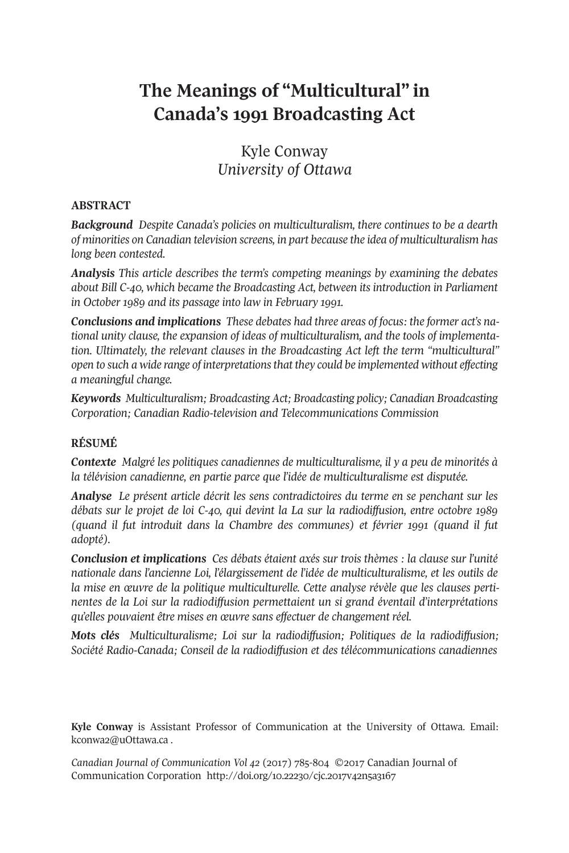# **The Meanings of "Multicultural" in Canada's 1991 Broadcasting Act**

# Kyle Conway *University of Ottawa*

#### **ABSTRACT**

*Background Despite Canada's policies on multiculturalism, there continues to be a dearth of minorities on Canadian television screens, in part because the idea of multiculturalism has long been contested.*

*Analysis This article describes the term's competing meanings by examining the debates about Bill C-40, which became the Broadcasting Act, between its introduction in Parliament in October 1989 and its passage into law in February 1991.*

*Conclusions and implications These debates had three areas of focus: the former act's national unity clause, the expansion of ideas of multiculturalism, and the tools of implementation. Ultimately, the relevant clauses in the Broadcasting Act left the term "multicultural" open to such a wide range of interpretationsthat they could be implemented without effecting a meaningful change.*

*Keywords Multiculturalism; Broadcasting Act; Broadcasting policy; Canadian Broadcasting Corporation; Canadian Radio-television and Telecommunications Commission*

### **RÉSUMÉ**

*Contexte Malgré les politiques canadiennes de multiculturalisme, il y a peu de minorités à la télévision canadienne, en partie parce que l'idée de multiculturalisme est disputée.*

*Analyse Le présent article décrit les sens contradictoires du terme en se penchant sur les débats sur le projet de loi C-40, qui devint la La sur la radiodiffusion, entre octobre 1989 (quand il fut introduit dans la Chambre des communes) et février 1991 (quand il fut adopté).*

*Conclusion et implications Ces débats étaient axés sur trois thèmes : la clause sur l'unité nationale dans l'ancienne Loi, l'élargissement de l'idée de multiculturalisme, et les outils de la mise en œuvre de la politique multiculturelle. Cette analyse révèle que les clauses pertinentes de la Loi sur la radiodiffusion permettaient un si grand éventail d'interprétations qu'elles pouvaient être mises en œuvre sans effectuer de changement réel.*

*Mots clés Multiculturalisme; Loi sur la radiodiffusion; Politiques de la radiodiffusion; Société Radio-Canada; Conseil de la radiodiffusion et des télécommunications canadiennes*

**Kyle Conway** is Assistant Professor of Communication at the University of Ottawa. Email: [kconwa2@uOttawa.ca](mailto:kconwa2@uOttawa.ca) .

*Canadian Journal of [Communication](http://www.cjc-online.ca) Vol 42* (2017) 785-804 ©2017 Canadian Journal of Communication Corporation <http://doi.org/10.22230/cjc.2017v42n5a3167>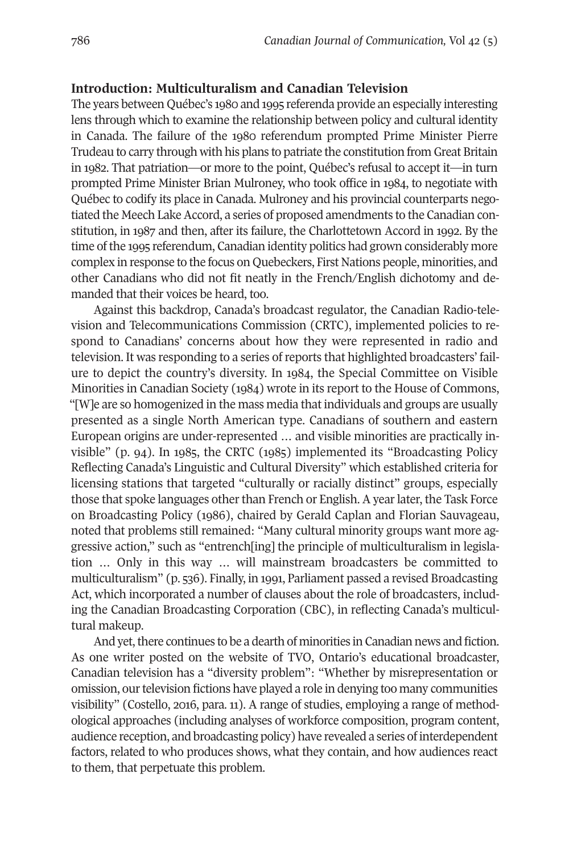#### **Introduction: Multiculturalism and Canadian Television**

The years between Québec's 1980 and 1995 referenda provide an especially interesting lens through which to examine the relationship between policy and cultural identity in Canada. The failure of the 1980 referendum prompted Prime Minister Pierre Trudeau to carry through with his plans to patriate the constitution from Great Britain in 1982. That patriation—or more to the point, Québec's refusal to accept it—in turn prompted Prime Minister Brian Mulroney, who took office in 1984, to negotiate with Québec to codify its place in Canada. Mulroney and his provincial counterparts negotiated the Meech Lake Accord, a series of proposed amendments to the Canadian constitution, in 1987 and then, after its failure, the Charlottetown Accord in 1992. By the time of the 1995 referendum, Canadian identity politics had grown considerably more complex in response to the focus on Quebeckers, First Nations people, minorities, and other Canadians who did not fit neatly in the French/English dichotomy and demanded that their voices be heard, too.

Against this backdrop, Canada's broadcast regulator, the Canadian Radio-television and Telecommunications Commission (CRTC), implemented policies to respond to Canadians' concerns about how they were represented in radio and television. It was responding to a series of reports that highlighted broadcasters' failure to depict the country's diversity. In 1984, the Special Committee on Visible Minorities in Canadian Society (1984) wrote in its report to the House of Commons, "[W]e are so homogenized in the mass media that individuals and groups are usually presented as a single North American type. Canadians of southern and eastern European origins are under-represented … and visible minorities are practically invisible" (p. 94). In 1985, the CRTC (1985) implemented its "Broadcasting Policy Reflecting Canada's Linguistic and Cultural Diversity" which established criteria for licensing stations that targeted "culturally or racially distinct" groups, especially those that spoke languages other than French or English. A year later, the Task Force on Broadcasting Policy (1986), chaired by Gerald Caplan and Florian Sauvageau, noted that problems still remained: "Many cultural minority groups want more aggressive action," such as "entrench[ing] the principle of multiculturalism in legislation … Only in this way … will mainstream broadcasters be committed to multiculturalism" (p. 536). Finally, in 1991, Parliament passed a revised Broadcasting Act, which incorporated a number of clauses about the role of broadcasters, including the Canadian Broadcasting Corporation (CBC), in reflecting Canada's multicultural makeup.

And yet, there continues to be a dearth of minorities in Canadian news and fiction. As one writer posted on the website of TVO, Ontario's educational broadcaster, Canadian television has a "diversity problem": "Whether by misrepresentation or omission, ourtelevision fictions have played a role in denying too many communities visibility" (Costello, 2016, para. 11). A range of studies, employing a range of methodological approaches (including analyses of workforce composition, program content, audience reception, and broadcasting policy) have revealed a series of interdependent factors, related to who produces shows, what they contain, and how audiences react to them, that perpetuate this problem.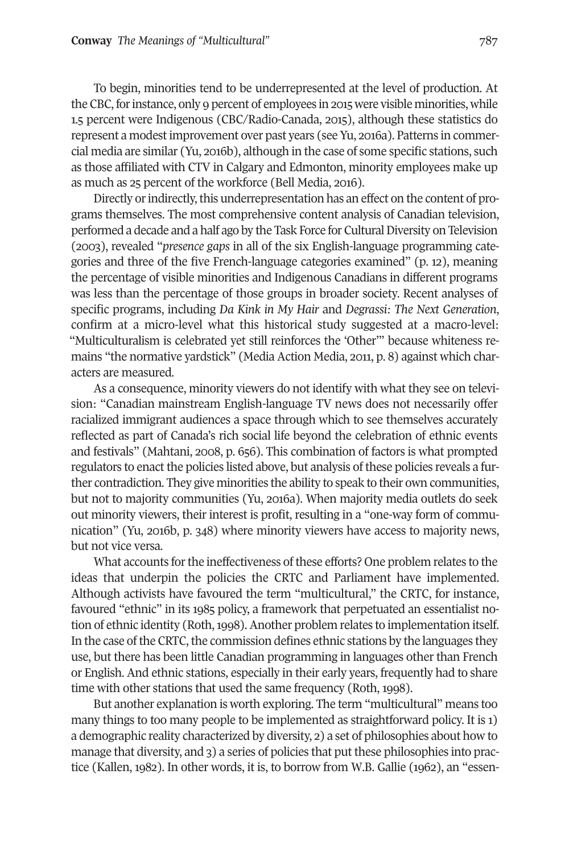To begin, minorities tend to be underrepresented at the level of production. At the CBC, for instance, only 9 percent of employees in 2015 were visible minorities, while 1.5 percent were Indigenous (CBC/Radio-Canada, 2015), although these statistics do represent a modestimprovement over past years (see Yu, 2016a). Patterns in commercial media are similar (Yu, 2016b), although in the case of some specific stations, such as those affiliated with CTV in Calgary and Edmonton, minority employees make up as much as 25 percent of the workforce (Bell Media, 2016).

Directly or indirectly, this underrepresentation has an effect on the content of programs themselves. The most comprehensive content analysis of Canadian television, performed a decade and a half ago by the Task Force for Cultural Diversity on Television (2003), revealed "*presence gaps* in all of the six English-language programming categories and three of the five French-language categories examined" (p. 12), meaning the percentage of visible minorities and Indigenous Canadians in different programs was less than the percentage of those groups in broader society. Recent analyses of specific programs, including *Da Kink in My Hair* and *Degrassi: The Next Generation*, confirm at a micro-level what this historical study suggested at a macro-level: "Multiculturalism is celebrated yet still reinforces the 'Other'" because whiteness remains "the normative yardstick" (Media Action Media, 2011, p. 8) against which characters are measured.

As a consequence, minority viewers do not identify with what they see on television: "Canadian mainstream English-language TV news does not necessarily offer racialized immigrant audiences a space through which to see themselves accurately reflected as part of Canada's rich social life beyond the celebration of ethnic events and festivals" (Mahtani, 2008, p. 656). This combination of factors is what prompted regulators to enact the policies listed above, but analysis of these policies reveals a further contradiction. They give minorities the ability to speak to their own communities, but not to majority communities (Yu, 2016a). When majority media outlets do seek out minority viewers, their interest is profit, resulting in a "one-way form of communication" (Yu, 2016b, p. 348) where minority viewers have access to majority news, but not vice versa.

What accounts for the ineffectiveness of these efforts? One problem relates to the ideas that underpin the policies the CRTC and Parliament have implemented. Although activists have favoured the term "multicultural," the CRTC, for instance, favoured "ethnic" in its 1985 policy, a framework that perpetuated an essentialist notion of ethnic identity (Roth, 1998). Another problem relates to implementation itself. In the case of the CRTC, the commission defines ethnic stations by the languages they use, but there has been little Canadian programming in languages other than French or English. And ethnic stations, especially in their early years, frequently had to share time with other stations that used the same frequency (Roth, 1998).

But another explanation is worth exploring. The term "multicultural" means too many things to too many people to be implemented as straightforward policy. It is 1) a demographic reality characterized by diversity, 2) a set of philosophies about how to manage that diversity, and 3) a series of policies that put these philosophies into practice (Kallen, 1982). In other words, it is, to borrow from W.B. Gallie (1962), an "essen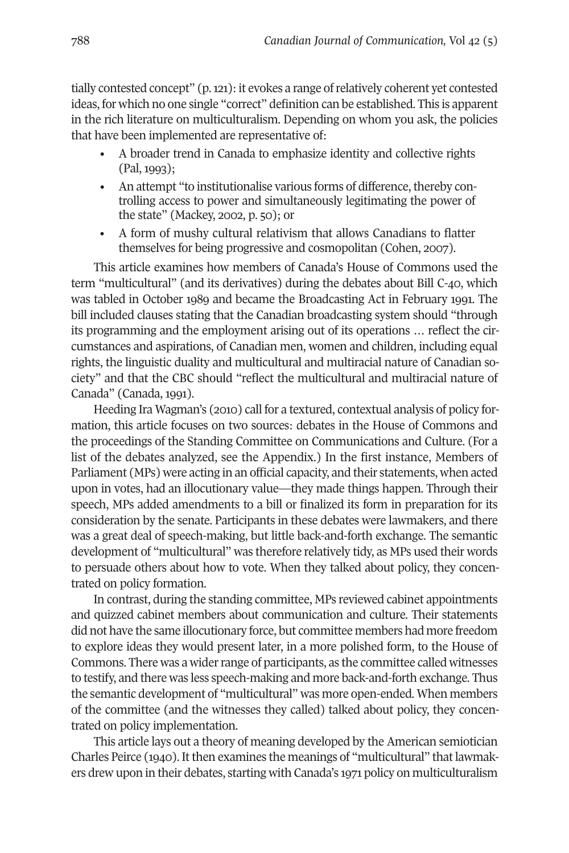tially contested concept" (p.121): it evokes a range ofrelatively coherent yet contested ideas, for which no one single "correct" definition can be established. This is apparent in the rich literature on multiculturalism. Depending on whom you ask, the policies that have been implemented are representative of:

- A broader trend in Canada to emphasize identity and collective rights (Pal, 1993);
- An attempt "to institutionalise various forms of difference, thereby controlling access to power and simultaneously legitimating the power of the state" (Mackey, 2002, p. 50); or
- A form of mushy cultural relativism that allows Canadians to flatter themselves for being progressive and cosmopolitan (Cohen, 2007).

This article examines how members of Canada's House of Commons used the term "multicultural" (and its derivatives) during the debates about Bill C-40, which was tabled in October 1989 and became the Broadcasting Act in February 1991. The bill included clauses stating that the Canadian broadcasting system should "through its programming and the employment arising out of its operations … reflect the circumstances and aspirations, of Canadian men, women and children, including equal rights, the linguistic duality and multicultural and multiracial nature of Canadian society" and that the CBC should "reflect the multicultural and multiracial nature of Canada" (Canada, 1991).

Heeding Ira Wagman's (2010) call for a textured, contextual analysis of policy formation, this article focuses on two sources: debates in the House of Commons and the proceedings of the Standing Committee on Communications and Culture. (For a list of the debates analyzed, see the Appendix.) In the first instance, Members of Parliament (MPs) were acting in an official capacity, and their statements, when acted upon in votes, had an illocutionary value—they made things happen. Through their speech, MPs added amendments to a bill or finalized its form in preparation for its consideration by the senate. Participants in these debates were lawmakers, and there was a great deal of speech-making, but little back-and-forth exchange. The semantic development of "multicultural" was therefore relatively tidy, as MPs used their words to persuade others about how to vote. When they talked about policy, they concentrated on policy formation.

In contrast, during the standing committee, MPs reviewed cabinet appointments and quizzed cabinet members about communication and culture. Their statements did not have the same illocutionary force, but committee members had more freedom to explore ideas they would present later, in a more polished form, to the House of Commons. There was a wider range of participants, as the committee called witnesses to testify, and there was less speech-making and more back-and-forth exchange. Thus the semantic development of "multicultural" was more open-ended. When members of the committee (and the witnesses they called) talked about policy, they concentrated on policy implementation.

This article lays out a theory of meaning developed by the American semiotician Charles Peirce  $(1940)$ . It then examines the meanings of "multicultural" that lawmakers drew upon in their debates, starting with Canada's 1971 policy on multiculturalism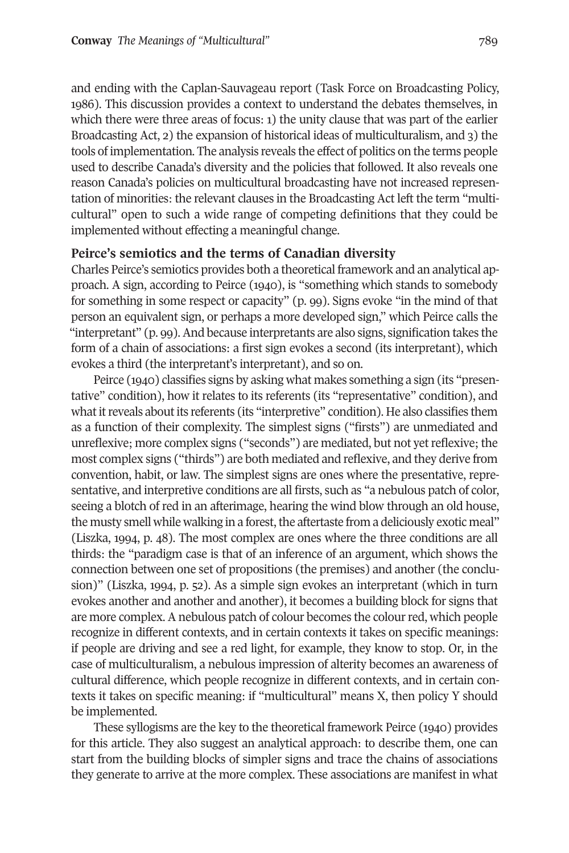and ending with the Caplan-Sauvageau report (Task Force on Broadcasting Policy, 1986). This discussion provides a context to understand the debates themselves, in which there were three areas of focus: 1) the unity clause that was part of the earlier Broadcasting Act, 2) the expansion of historical ideas of multiculturalism, and 3) the tools of implementation. The analysis reveals the effect of politics on the terms people used to describe Canada's diversity and the policies that followed. It also reveals one reason Canada's policies on multicultural broadcasting have not increased representation of minorities: the relevant clauses in the Broadcasting Act left the term "multicultural" open to such a wide range of competing definitions that they could be implemented without effecting a meaningful change.

#### **Peirce's semiotics and the terms of Canadian diversity**

Charles Peirce's semiotics provides both a theoretical framework and an analytical approach. A sign, according to Peirce (1940), is "something which stands to somebody for something in some respect or capacity" (p. 99). Signs evoke "in the mind of that person an equivalent sign, or perhaps a more developed sign," which Peirce calls the "interpretant"  $(p, qg)$ . And because interpretants are also signs, signification takes the form of a chain of associations: a first sign evokes a second (its interpretant), which evokes a third (the interpretant's interpretant), and so on.

Peirce (1940) classifies signs by asking what makes something a sign (its "presentative" condition), how it relates to its referents (its "representative" condition), and what it reveals about its referents (its "interpretive" condition). He also classifies them as a function of their complexity. The simplest signs ("firsts") are unmediated and unreflexive; more complex signs ("seconds") are mediated, but not yetreflexive; the most complex signs ("thirds") are both mediated and reflexive, and they derive from convention, habit, or law. The simplest signs are ones where the presentative, representative, and interpretive conditions are all firsts, such as "a nebulous patch of color, seeing a blotch of red in an afterimage, hearing the wind blow through an old house, the musty smell while walking in a forest, the aftertaste from a deliciously exotic meal" (Liszka, 1994, p. 48). The most complex are ones where the three conditions are all thirds: the "paradigm case is that of an inference of an argument, which shows the connection between one set of propositions (the premises) and another (the conclusion)" (Liszka, 1994, p. 52). As a simple sign evokes an interpretant (which in turn evokes another and another and another), it becomes a building block for signs that are more complex. A nebulous patch of colour becomes the colourred, which people recognize in different contexts, and in certain contexts it takes on specific meanings: if people are driving and see a red light, for example, they know to stop. Or, in the case of multiculturalism, a nebulous impression of alterity becomes an awareness of cultural difference, which people recognize in different contexts, and in certain contexts it takes on specific meaning: if "multicultural" means X, then policy Y should be implemented.

These syllogisms are the key to the theoretical framework Peirce (1940) provides for this article. They also suggest an analytical approach: to describe them, one can start from the building blocks of simpler signs and trace the chains of associations they generate to arrive at the more complex. These associations are manifest in what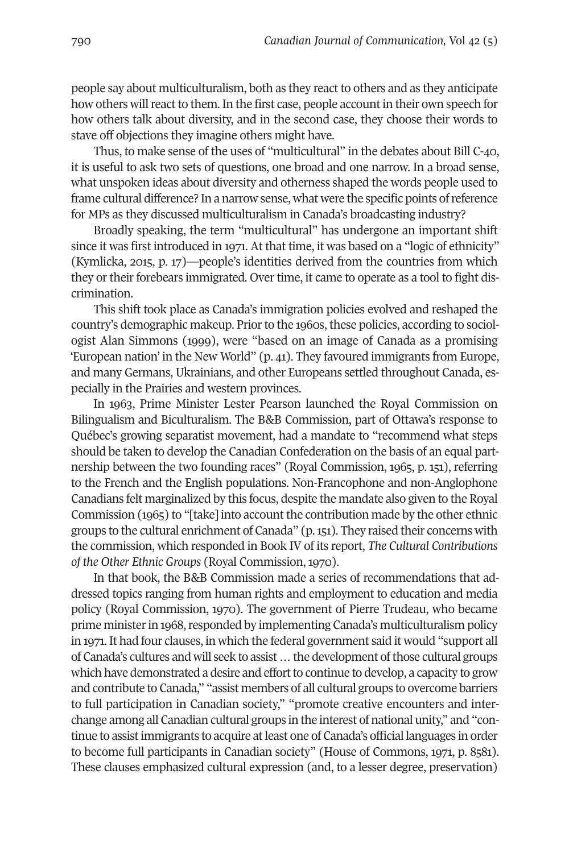people say about multiculturalism, both as they react to others and as they anticipate how others will react to them. In the first case, people account in their own speech for how others talk about diversity, and in the second case, they choose their words to stave off objections they imagine others might have.

Thus, to make sense of the uses of "multicultural" in the debates about Bill C-40, it is useful to ask two sets of questions, one broad and one narrow. In a broad sense, what unspoken ideas about diversity and otherness shaped the words people used to frame cultural difference? In a narrow sense, what were the specific points ofreference for MPs as they discussed multiculturalism in Canada's broadcasting industry?

Broadly speaking, the term "multicultural" has undergone an important shift since it was first introduced in 1971. At that time, it was based on a "logic of ethnicity" (Kymlicka, 2015, p. 17)—people's identities derived from the countries from which they or their forebears immigrated. Over time, it came to operate as a tool to fight discrimination.

This shift took place as Canada's immigration policies evolved and reshaped the country's demographic makeup. Prior to the 1960s, these policies, according to sociologist Alan Simmons (1999), were "based on an image of Canada as a promising 'European nation' in the New World" (p. 41). They favoured immigrants from Europe, and many Germans, Ukrainians, and other Europeans settled throughout Canada, especially in the Prairies and western provinces.

In 1963, Prime Minister Lester Pearson launched the Royal Commission on Bilingualism and Biculturalism. The B&B Commission, part of Ottawa's response to Québec's growing separatist movement, had a mandate to "recommend what steps should be taken to develop the Canadian Confederation on the basis of an equal partnership between the two founding races" (Royal Commission, 1965, p. 151), referring to the French and the English populations. Non-Francophone and non-Anglophone Canadians felt marginalized by this focus, despite the mandate also given to the Royal Commission (1965) to "[take] into account the contribution made by the other ethnic groups to the cultural enrichment of Canada" (p.151). They raised their concerns with the commission, which responded in Book IV of its report, *The Cultural Contributions of the Other Ethnic Groups* (Royal Commission, 1970).

In that book, the B&B Commission made a series of recommendations that addressed topics ranging from human rights and employment to education and media policy (Royal Commission, 1970). The government of Pierre Trudeau, who became prime minister in 1968, responded by implementing Canada's multiculturalism policy in 1971. It had four clauses, in which the federal government said it would "support all of Canada's cultures and will seek to assist…the development ofthose cultural groups which have demonstrated a desire and effort to continue to develop, a capacity to grow and contribute to Canada," "assist members of all cultural groups to overcome barriers to full participation in Canadian society," "promote creative encounters and interchange among all Canadian cultural groups in the interest of national unity," and "continue to assist immigrants to acquire at least one of Canada's official languages in order to become full participants in Canadian society" (House of Commons, 1971, p. 8581). These clauses emphasized cultural expression (and, to a lesser degree, preservation)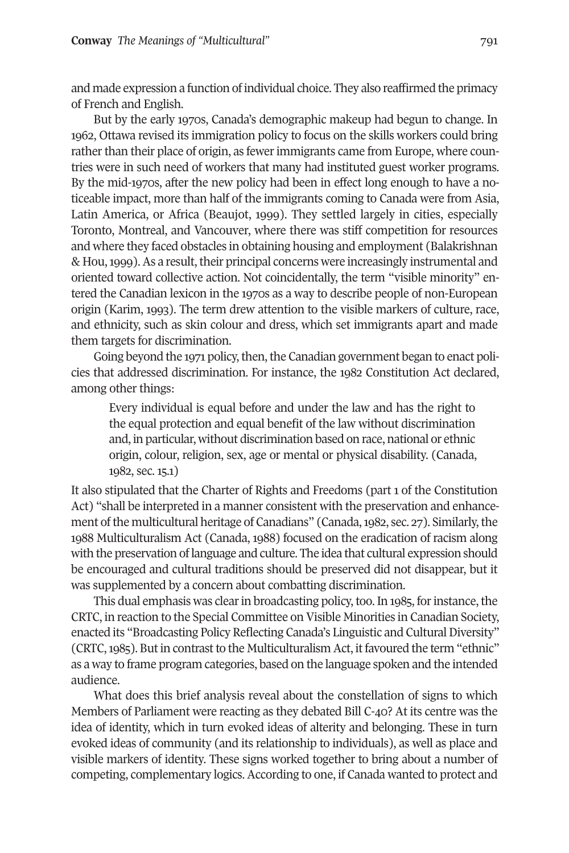and made expression a function of individual choice. They also reaffirmed the primacy of French and English.

But by the early 1970s, Canada's demographic makeup had begun to change. In 1962, Ottawa revised its immigration policy to focus on the skills workers could bring rather than their place of origin, as fewer immigrants came from Europe, where countries were in such need of workers that many had instituted guest worker programs. By the mid-1970s, after the new policy had been in effect long enough to have a noticeable impact, more than half of the immigrants coming to Canada were from Asia, Latin America, or Africa (Beaujot, 1999). They settled largely in cities, especially Toronto, Montreal, and Vancouver, where there was stiff competition for resources and where they faced obstacles in obtaining housing and employment (Balakrishnan & Hou, 1999). As a result, their principal concerns were increasingly instrumental and oriented toward collective action. Not coincidentally, the term "visible minority" entered the Canadian lexicon in the 1970s as a way to describe people of non-European origin (Karim, 1993). The term drew attention to the visible markers of culture, race, and ethnicity, such as skin colour and dress, which set immigrants apart and made them targets for discrimination.

Going beyond the 1971 policy, then, the Canadian government began to enact policies that addressed discrimination. For instance, the 1982 Constitution Act declared, among other things:

Every individual is equal before and under the law and has the right to the equal protection and equal benefit of the law without discrimination and, in particular, without discrimination based on race, national or ethnic origin, colour, religion, sex, age or mental or physical disability. (Canada, 1982, sec. 15.1)

It also stipulated that the Charter of Rights and Freedoms (part 1 of the Constitution Act) "shall be interpreted in a manner consistent with the preservation and enhancement of the multicultural heritage of Canadians" (Canada, 1982, sec. 27). Similarly, the 1988 Multiculturalism Act (Canada, 1988) focused on the eradication of racism along with the preservation oflanguage and culture. The idea that cultural expression should be encouraged and cultural traditions should be preserved did not disappear, but it was supplemented by a concern about combatting discrimination.

This dual emphasis was clear in broadcasting policy, too. In 1985, for instance, the CRTC, in reaction to the Special Committee on Visible Minorities in Canadian Society, enacted its "Broadcasting Policy Reflecting Canada's Linguistic and Cultural Diversity" (CRTC, 1985). But in contrast to the Multiculturalism Act, it favoured the term "ethnic" as a way to frame program categories, based on the language spoken and the intended audience.

What does this brief analysis reveal about the constellation of signs to which Members of Parliament were reacting as they debated Bill C-40? At its centre was the idea of identity, which in turn evoked ideas of alterity and belonging. These in turn evoked ideas of community (and its relationship to individuals), as well as place and visible markers of identity. These signs worked together to bring about a number of competing, complementary logics. According to one, if Canada wanted to protect and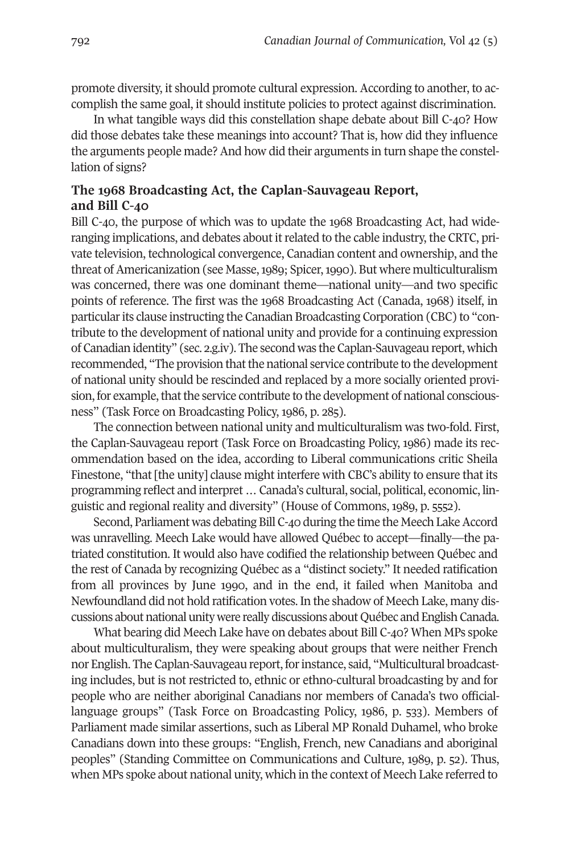promote diversity, it should promote cultural expression. According to another, to accomplish the same goal, it should institute policies to protect against discrimination.

In what tangible ways did this constellation shape debate about Bill C-40? How did those debates take these meanings into account? That is, how did they influence the arguments people made? And how did their arguments in turn shape the constellation of signs?

## **The 1968 Broadcasting Act, the Caplan-Sauvageau Report, and Bill C-40**

Bill C-40, the purpose of which was to update the 1968 Broadcasting Act, had wideranging implications, and debates about itrelated to the cable industry, the CRTC, private television, technological convergence, Canadian content and ownership, and the threat of Americanization (see Masse, 1989; Spicer, 1990). But where multiculturalism was concerned, there was one dominant theme—national unity—and two specific points of reference. The first was the 1968 Broadcasting Act (Canada, 1968) itself, in particular its clause instructing the Canadian Broadcasting Corporation (CBC) to "contribute to the development of national unity and provide for a continuing expression of Canadian identity" (sec. 2.g.iv). The second was the Caplan-Sauvageau report, which recommended, "The provision that the national service contribute to the development of national unity should be rescinded and replaced by a more socially oriented provision, for example, that the service contribute to the development of national consciousness" (Task Force on Broadcasting Policy, 1986, p. 285).

The connection between national unity and multiculturalism was two-fold. First, the Caplan-Sauvageau report (Task Force on Broadcasting Policy, 1986) made its recommendation based on the idea, according to Liberal communications critic Sheila Finestone, "that [the unity] clause might interfere with CBC's ability to ensure that its programming reflect and interpret … Canada's cultural, social, political, economic, linguistic and regional reality and diversity" (House of Commons, 1989, p. 5552).

Second, Parliament was debating Bill C-40 during the time the Meech Lake Accord was unravelling. Meech Lake would have allowed Québec to accept—finally—the patriated constitution. It would also have codified the relationship between Québec and the rest of Canada by recognizing Québec as a "distinct society." It needed ratification from all provinces by June 1990, and in the end, it failed when Manitoba and Newfoundland did not hold ratification votes. In the shadow of Meech Lake, many discussions about national unity were really discussions about Québec and English Canada.

What bearing did Meech Lake have on debates about Bill C-40? When MPs spoke about multiculturalism, they were speaking about groups that were neither French nor English. The Caplan-Sauvageau report, for instance, said, "Multicultural broadcasting includes, but is not restricted to, ethnic or ethno-cultural broadcasting by and for people who are neither aboriginal Canadians nor members of Canada's two officiallanguage groups" (Task Force on Broadcasting Policy, 1986, p. 533). Members of Parliament made similar assertions, such as Liberal MP Ronald Duhamel, who broke Canadians down into these groups: "English, French, new Canadians and aboriginal peoples" (Standing Committee on Communications and Culture, 1989, p. 52). Thus, when MPs spoke about national unity, which in the context of Meech Lake referred to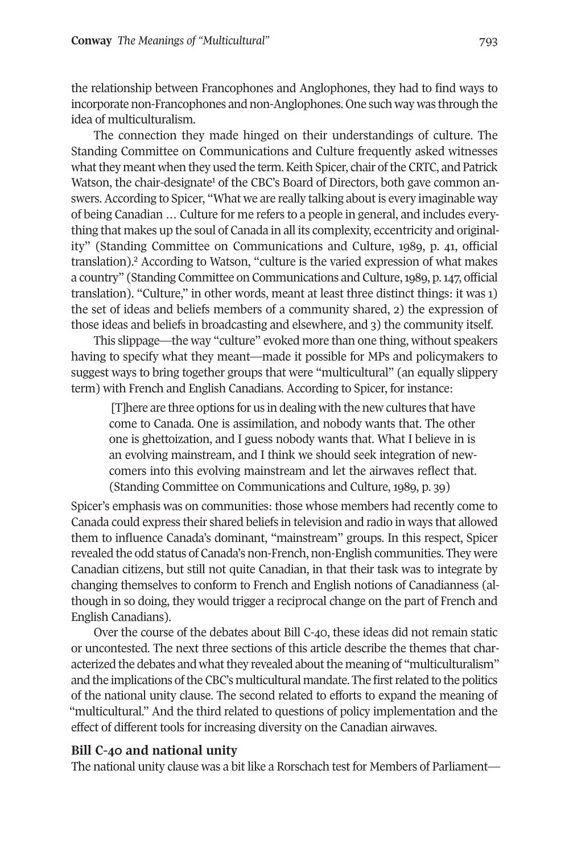the relationship between Francophones and Anglophones, they had to find ways to incorporate non-Francophones and non-Anglophones. One such way was through the idea of multiculturalism.

The connection they made hinged on their understandings of culture. The Standing Committee on Communications and Culture frequently asked witnesses what they meant when they used the term. Keith Spicer, chair of the CRTC, and Patrick Watson, the chair-designate<sup>1</sup> of the CBC's Board of Directors, both gave common answers. According to Spicer, "What we are really talking about is every imaginable way of being Canadian … Culture for me refers to a people in general, and includes everything that makes up the soul of Canada in all its complexity, eccentricity and originality" (Stand[in](#page-16-1)g Committee on Communications and Culture, 1989, p. 41, official translation). <sup>2</sup> According to Watson, "culture is the varied expression of what makes a country" (Standing Committee on Communications and Culture,1989, p.147, official translation). "Culture," in other words, meant at least three distinct things: it was 1) the set of ideas and beliefs members of a community shared, 2) the expression of those ideas and beliefs in broadcasting and elsewhere, and 3) the community itself.

This slippage—the way "culture" evoked more than one thing, without speakers having to specify what they meant—made it possible for MPs and policymakers to suggest ways to bring together groups that were "multicultural" (an equally slippery term) with French and English Canadians. According to Spicer, for instance:

[T]here are three options for us in dealing with the new cultures that have come to Canada. One is assimilation, and nobody wants that. The other one is ghettoization, and I guess nobody wants that. What I believe in is an evolving mainstream, and I think we should seek integration of newcomers into this evolving mainstream and let the airwaves reflect that. (Standing Committee on Communications and Culture, 1989, p. 39)

Spicer's emphasis was on communities: those whose members had recently come to Canada could express their shared beliefs in television and radio in ways that allowed them to influence Canada's dominant, "mainstream" groups. In this respect, Spicer revealed the odd status of Canada's non-French, non-English communities. They were Canadian citizens, but still not quite Canadian, in that their task was to integrate by changing themselves to conform to French and English notions of Canadianness (although in so doing, they would trigger a reciprocal change on the part of French and English Canadians).

Over the course of the debates about Bill C-40, these ideas did not remain static or uncontested. The next three sections of this article describe the themes that characterized the debates and what they revealed about the meaning of "multiculturalism" and the implications of the CBC's multicultural mandate. The first related to the politics of the national unity clause. The second related to efforts to expand the meaning of "multicultural." And the third related to questions of policy implementation and the effect of different tools for increasing diversity on the Canadian airwaves.

#### **Bill C-40 and national unity**

The national unity clause was a bit like a Rorschach test for Members of Parliament—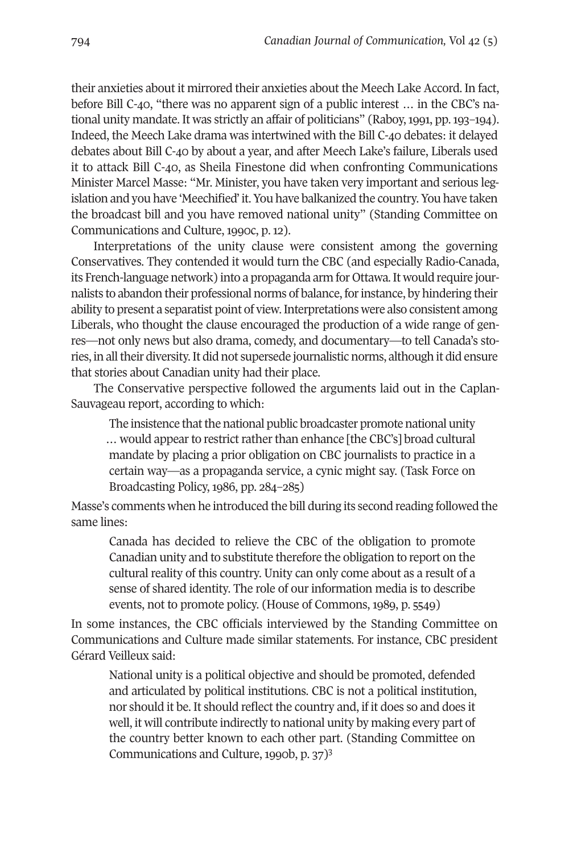their anxieties about it mirrored their anxieties about the Meech Lake Accord. In fact, before Bill C-40, "there was no apparent sign of a public interest … in the CBC's national unity mandate. It was strictly an affair of politicians" (Raboy,1991, pp.193–194). Indeed, the Meech Lake drama was intertwined with the Bill C-40 debates: it delayed debates about Bill C-40 by about a year, and after Meech Lake's failure, Liberals used it to attack Bill C-40, as Sheila Finestone did when confronting Communications Minister Marcel Masse: "Mr. Minister, you have taken very important and serious legislation and you have 'Meechified' it. You have balkanized the country. You have taken the broadcast bill and you have removed national unity" (Standing Committee on Communications and Culture, 1990c, p. 12).

Interpretations of the unity clause were consistent among the governing Conservatives. They contended it would turn the CBC (and especially Radio-Canada, its French-language network) into a propaganda arm for Ottawa.It would require journalists to abandon their professional norms of balance, forinstance, by hindering their ability to present a separatist point of view.Interpretations were also consistent among Liberals, who thought the clause encouraged the production of a wide range of genres—not only news but also drama, comedy, and documentary—to tell Canada's stories, in all their diversity. It did not supersede journalistic norms, although it did ensure that stories about Canadian unity had their place.

The Conservative perspective followed the arguments laid out in the Caplan-Sauvageau report, according to which:

The insistence that the national public broadcaster promote national unity ... would appear to restrict rather than enhance [the CBC's] broad cultural mandate by placing a prior obligation on CBC journalists to practice in a certain way—as a propaganda service, a cynic might say. (Task Force on Broadcasting Policy, 1986, pp. 284–285)

Masse's comments when he introduced the bill during its second reading followed the same lines:

Canada has decided to relieve the CBC of the obligation to promote Canadian unity and to substitute therefore the obligation to report on the cultural reality of this country. Unity can only come about as a result of a sense of shared identity. The role of our information media is to describe events, not to promote policy. (House of Commons, 1989, p. 5549)

In some instances, the CBC officials interviewed by the Standing Committee on Communications and Culture made similar statements. For instance, CBC president Gérard Veilleux said:

National unity is a political objective and should be promoted, defended and articulated by political institutions. CBC is not a political institution, nor should it be. It should reflect the country and, if it does so and does it well, it will contribute indirectly to national unity by making every part of the country better known to each other p[ar](#page-16-2)t. (Standing Committee on Communications and Culture, 1990b, p. 37)3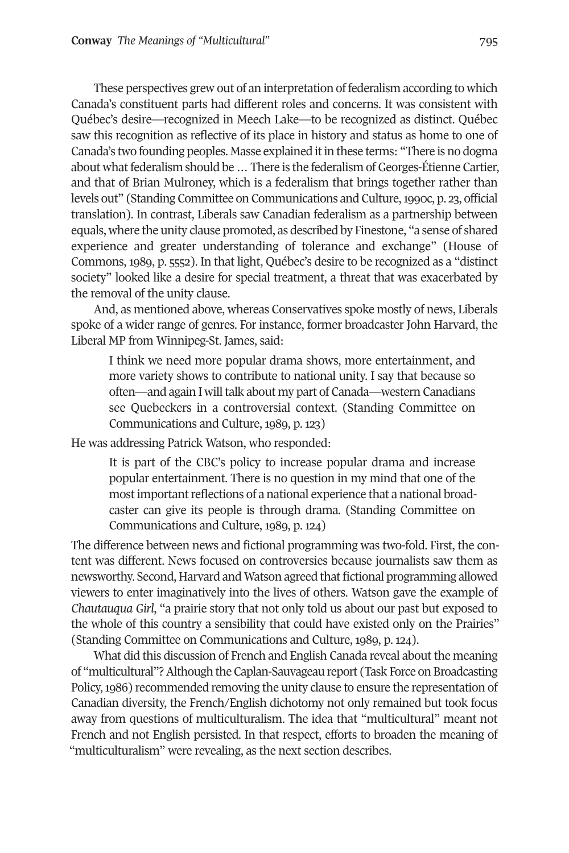These perspectives grew out of an interpretation of federalism according to which Canada's constituent parts had different roles and concerns. It was consistent with Québec's desire—recognized in Meech Lake—to be recognized as distinct. Québec saw this recognition as reflective of its place in history and status as home to one of Canada's two founding peoples. Masse explained it in these terms: "There is no dogma about what federalism should be ... There is the federalism of Georges-Étienne Cartier, and that of Brian Mulroney, which is a federalism that brings together rather than levels out" (Standing Committee on Communications and Culture,1990c, p. 23, official translation). In contrast, Liberals saw Canadian federalism as a partnership between equals, where the unity clause promoted, as described by Finestone, "a sense of shared experience and greater understanding of tolerance and exchange" (House of Commons, 1989, p. 5552). In that light, Québec's desire to be recognized as a "distinct society" looked like a desire for special treatment, a threat that was exacerbated by the removal of the unity clause.

And, as mentioned above, whereas Conservatives spoke mostly of news, Liberals spoke of a wider range of genres. For instance, former broadcaster John Harvard, the Liberal MP from Winnipeg-St. James, said:

I think we need more popular drama shows, more entertainment, and more variety shows to contribute to national unity. I say that because so often—and again I will talk about my part of Canada—western Canadians see Quebeckers in a controversial context. (Standing Committee on Communications and Culture, 1989, p. 123)

He was addressing Patrick Watson, who responded:

It is part of the CBC's policy to increase popular drama and increase popular entertainment. There is no question in my mind that one of the most important reflections of a national experience that a national broadcaster can give its people is through drama. (Standing Committee on Communications and Culture, 1989, p. 124)

The difference between news and fictional programming was two-fold. First, the content was different. News focused on controversies because journalists saw them as newsworthy. Second, Harvard and Watson agreed that fictional programming allowed viewers to enter imaginatively into the lives of others. Watson gave the example of *Chautauqua Girl*, "a prairie story that not only told us about our past but exposed to the whole of this country a sensibility that could have existed only on the Prairies" (Standing Committee on Communications and Culture, 1989, p. 124).

What did this discussion of French and English Canada reveal about the meaning of "multicultural"? Although the Caplan-Sauvageau report (Task Force on Broadcasting Policy,1986) recommended removing the unity clause to ensure the representation of Canadian diversity, the French/English dichotomy not only remained but took focus away from questions of multiculturalism. The idea that "multicultural" meant not French and not English persisted. In that respect, efforts to broaden the meaning of "multiculturalism" were revealing, as the next section describes.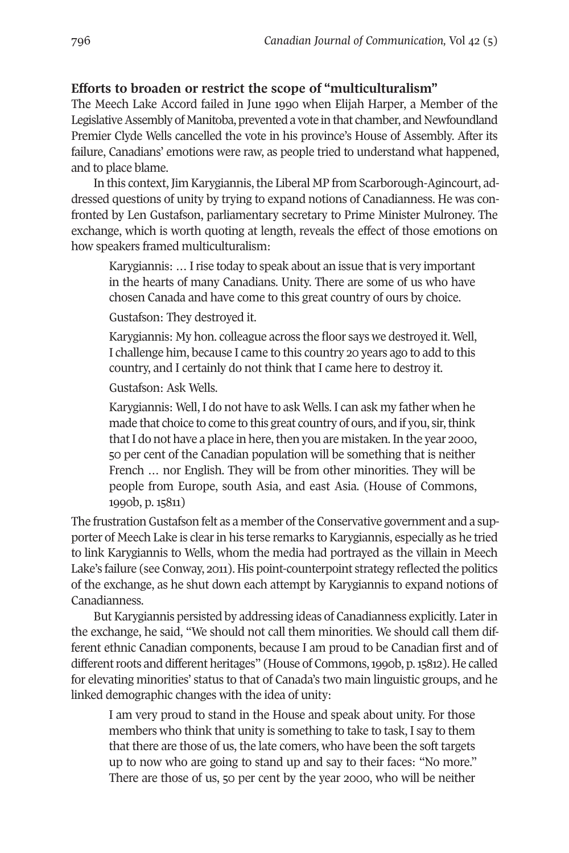## **Efforts to broaden or restrict the scope of "multiculturalism"**

The Meech Lake Accord failed in June 1990 when Elijah Harper, a Member of the Legislative Assembly of Manitoba, prevented a vote in that chamber, and Newfoundland Premier Clyde Wells cancelled the vote in his province's House of Assembly. After its failure, Canadians' emotions were raw, as people tried to understand what happened, and to place blame.

In this context, Jim Karygiannis, the Liberal MP from Scarborough-Agincourt, addressed questions of unity by trying to expand notions of Canadianness. He was confronted by Len Gustafson, parliamentary secretary to Prime Minister Mulroney. The exchange, which is worth quoting at length, reveals the effect of those emotions on how speakers framed multiculturalism:

Karygiannis: … Irise today to speak about an issue that is very important in the hearts of many Canadians. Unity. There are some of us who have chosen Canada and have come to this great country of ours by choice.

Gustafson: They destroyed it.

Karygiannis: My hon. colleague across the floor says we destroyed it. Well, I challenge him, because I came to this country 20 years ago to add to this country, and I certainly do not think that I came here to destroy it.

Gustafson: Ask Wells.

Karygiannis: Well, I do not have to ask Wells. I can ask my father when he made that choice to come to this great country of ours, and if you, sir, think that I do not have a place in here, then you are mistaken. In the year 2000, 50 per cent of the Canadian population will be something that is neither French … nor English. They will be from other minorities. They will be people from Europe, south Asia, and east Asia. (House of Commons, 1990b, p. 15811)

The frustration Gustafson felt as a member of the Conservative government and a supporter of Meech Lake is clearin his terse remarks to Karygiannis, especially as he tried to link Karygiannis to Wells, whom the media had portrayed as the villain in Meech Lake's failure (see Conway, 2011). His point-counterpoint strategy reflected the politics of the exchange, as he shut down each attempt by Karygiannis to expand notions of Canadianness.

But Karygiannis persisted by addressing ideas of Canadianness explicitly. Laterin the exchange, he said, "We should not call them minorities. We should call them different ethnic Canadian components, because I am proud to be Canadian first and of different roots and different heritages" (House of Commons, 1990b, p. 15812). He called for elevating minorities' status to that of Canada's two main linguistic groups, and he linked demographic changes with the idea of unity:

I am very proud to stand in the House and speak about unity. For those members who think that unity is something to take to task, I say to them that there are those of us, the late comers, who have been the soft targets up to now who are going to stand up and say to their faces: "No more." There are those of us, 50 per cent by the year 2000, who will be neither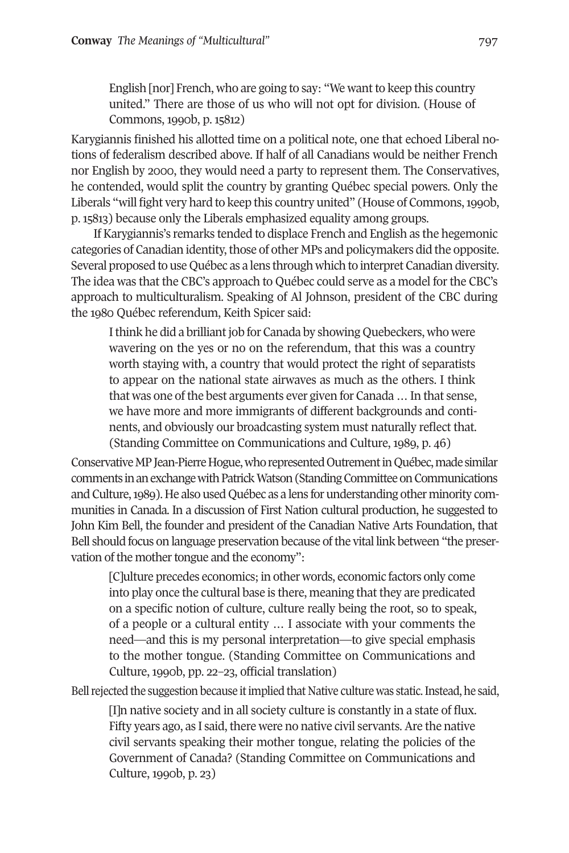English [nor] French, who are going to say: "We want to keep this country united." There are those of us who will not opt for division. (House of Commons, 1990b, p. 15812)

Karygiannis finished his allotted time on a political note, one that echoed Liberal notions of federalism described above. If half of all Canadians would be neither French nor English by 2000, they would need a party to represent them. The Conservatives, he contended, would split the country by granting Québec special powers. Only the Liberals "will fight very hard to keep this country united" (House of Commons,1990b, p. 15813) because only the Liberals emphasized equality among groups.

If Karygiannis's remarks tended to displace French and English as the hegemonic categories of Canadian identity, those of other MPs and policymakers did the opposite. Several proposed to use Québec as a lens through which to interpret Canadian diversity. The idea was that the CBC's approach to Québec could serve as a model forthe CBC's approach to multiculturalism. Speaking of Al Johnson, president of the CBC during the 1980 Québec referendum, Keith Spicer said:

I think he did a brilliant job for Canada by showing Quebeckers, who were wavering on the yes or no on the referendum, that this was a country worth staying with, a country that would protect the right of separatists to appear on the national state airwaves as much as the others. I think that was one of the best arguments ever given for Canada ... In that sense, we have more and more immigrants of different backgrounds and continents, and obviously our broadcasting system must naturally reflect that. (Standing Committee on Communications and Culture, 1989, p. 46)

Conservative MP Jean-Pierre Hogue, who represented Outrement in Québec, made similar comments in an exchange with Patrick Watson (Standing Committee on Communications and Culture,1989). He also used Québec as a lens for understanding other minority communities in Canada. In a discussion of First Nation cultural production, he suggested to John Kim Bell, the founder and president of the Canadian Native Arts Foundation, that Bell should focus on language preservation because ofthe vital link between "the preservation of the mother tongue and the economy":

[C]ulture precedes economics;in other words, economic factors only come into play once the cultural base is there, meaning that they are predicated on a specific notion of culture, culture really being the root, so to speak, of a people or a cultural entity … I associate with your comments the need—and this is my personal interpretation—to give special emphasis to the mother tongue. (Standing Committee on Communications and Culture, 1990b, pp. 22–23, official translation)

Bell rejected the suggestion because it implied that Native culture was static. Instead, he said,

[I]n native society and in all society culture is constantly in a state of flux. Fifty years ago, as I said, there were no native civil servants. Are the native civil servants speaking their mother tongue, relating the policies of the Government of Canada? (Standing Committee on Communications and Culture, 1990b, p. 23)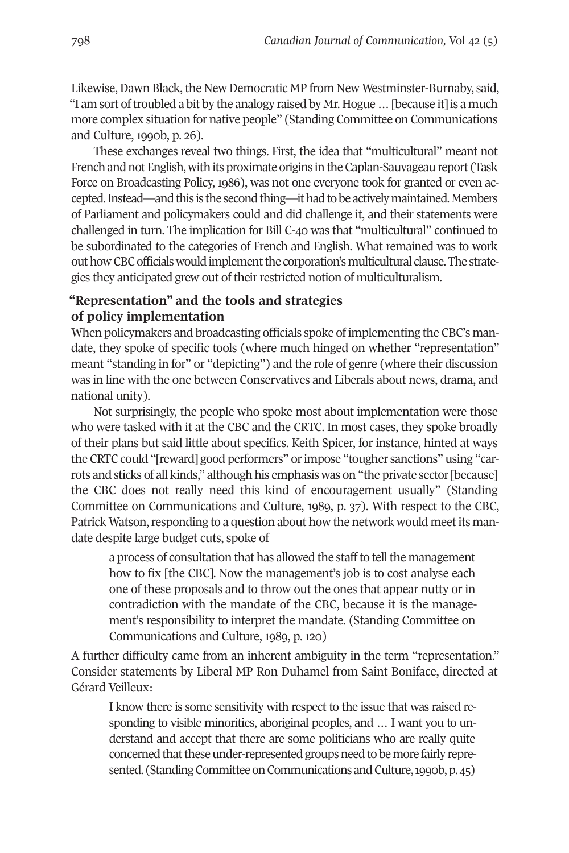Likewise, Dawn Black, the New Democratic MP from New Westminster-Burnaby, said, "I am sort oftroubled a bit by the analogy raised by Mr. Hogue…[because it]is a much more complex situation for native people" (Standing Committee on Communications and Culture, 1990b, p. 26).

These exchanges reveal two things. First, the idea that "multicultural" meant not French and not English, with its proximate origins in the Caplan-Sauvageau report (Task Force on Broadcasting Policy, 1986), was not one everyone took for granted or even accepted. Instead—and this is the second thing—it had to be actively maintained. Members of Parliament and policymakers could and did challenge it, and their statements were challenged in turn. The implication for Bill C-40 was that "multicultural" continued to be subordinated to the categories of French and English. What remained was to work out how CBC officials would implement the corporation's multicultural clause. The strategies they anticipated grew out of their restricted notion of multiculturalism.

## **"Representation" and the tools and strategies of policy implementation**

When policymakers and broadcasting officials spoke of implementing the CBC's mandate, they spoke of specific tools (where much hinged on whether "representation" meant "standing in for" or "depicting") and the role of genre (where their discussion was in line with the one between Conservatives and Liberals about news, drama, and national unity).

Not surprisingly, the people who spoke most about implementation were those who were tasked with it at the CBC and the CRTC. In most cases, they spoke broadly of their plans but said little about specifics. Keith Spicer, for instance, hinted at ways the CRTC could "[reward] good performers" orimpose "tougher sanctions" using "carrots and sticks of all kinds," although his emphasis was on "the private sector[because] the CBC does not really need this kind of encouragement usually" (Standing Committee on Communications and Culture, 1989, p. 37). With respect to the CBC, Patrick Watson, responding to a question about how the network would meet its mandate despite large budget cuts, spoke of

a process of consultation that has allowed the staff to tell the management how to fix [the CBC]. Now the management's job is to cost analyse each one of these proposals and to throw out the ones that appear nutty or in contradiction with the mandate of the CBC, because it is the management's responsibility to interpret the mandate. (Standing Committee on Communications and Culture, 1989, p. 120)

A further difficulty came from an inherent ambiguity in the term "representation." Consider statements by Liberal MP Ron Duhamel from Saint Boniface, directed at Gérard Veilleux:

I know there is some sensitivity with respect to the issue that was raised responding to visible minorities, aboriginal peoples, and … I want you to understand and accept that there are some politicians who are really quite concerned that these under-represented groups need to be more fairly represented. (Standing Committee on Communications and Culture, 1990b, p. 45)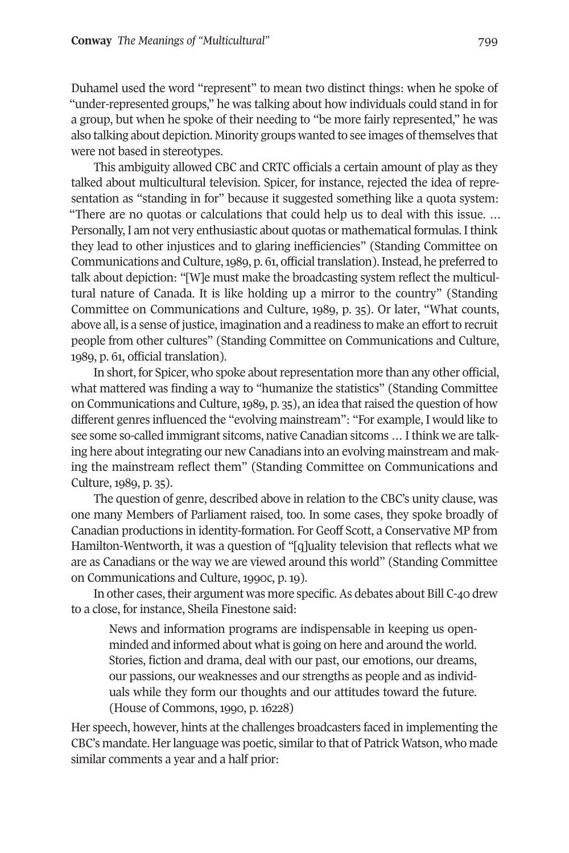Duhamel used the word "represent" to mean two distinct things: when he spoke of "under-represented groups," he was talking about how individuals could stand in for a group, but when he spoke of their needing to "be more fairly represented," he was also talking about depiction. Minority groups wanted to see images ofthemselves that were not based in stereotypes.

This ambiguity allowed CBC and CRTC officials a certain amount of play as they talked about multicultural television. Spicer, for instance, rejected the idea of representation as "standing in for" because it suggested something like a quota system: "There are no quotas or calculations that could help us to deal with this issue. … Personally, I am not very enthusiastic about quotas or mathematical formulas. Ithink they lead to other injustices and to glaring inefficiencies" (Standing Committee on Communications and Culture, 1989, p. 61, official translation). Instead, he preferred to talk about depiction: "[W]e must make the broadcasting system reflect the multicultural nature of Canada. It is like holding up a mirror to the country" (Standing Committee on Communications and Culture, 1989, p. 35). Or later, "What counts, above all, is a sense of justice, imagination and a readiness to make an effort to recruit people from other cultures" (Standing Committee on Communications and Culture, 1989, p. 61, official translation).

In short, for Spicer, who spoke about representation more than any other official, what mattered was finding a way to "humanize the statistics" (Standing Committee on Communications and Culture, 1989, p. 35), an idea that raised the question of how different genres influenced the "evolving mainstream": "For example, I would like to see some so-called immigrant sitcoms, native Canadian sitcoms … I think we are talking here about integrating our new Canadians into an evolving mainstream and making the mainstream reflect them" (Standing Committee on Communications and Culture, 1989, p. 35).

The question of genre, described above in relation to the CBC's unity clause, was one many Members of Parliament raised, too. In some cases, they spoke broadly of Canadian productions in identity-formation. For Geoff Scott, a Conservative MP from Hamilton-Wentworth, it was a question of "[q]uality television that reflects what we are as Canadians or the way we are viewed around this world" (Standing Committee on Communications and Culture, 1990c, p. 19).

In other cases, their argument was more specific. As debates about Bill C-40 drew to a close, for instance, Sheila Finestone said:

News and information programs are indispensable in keeping us openminded and informed about what is going on here and around the world. Stories, fiction and drama, deal with our past, our emotions, our dreams, our passions, our weaknesses and our strengths as people and as individuals while they form our thoughts and our attitudes toward the future. (House of Commons, 1990, p. 16228)

Her speech, however, hints at the challenges broadcasters faced in implementing the CBC's mandate. Herlanguage was poetic, similarto that of Patrick Watson, who made similar comments a year and a half prior: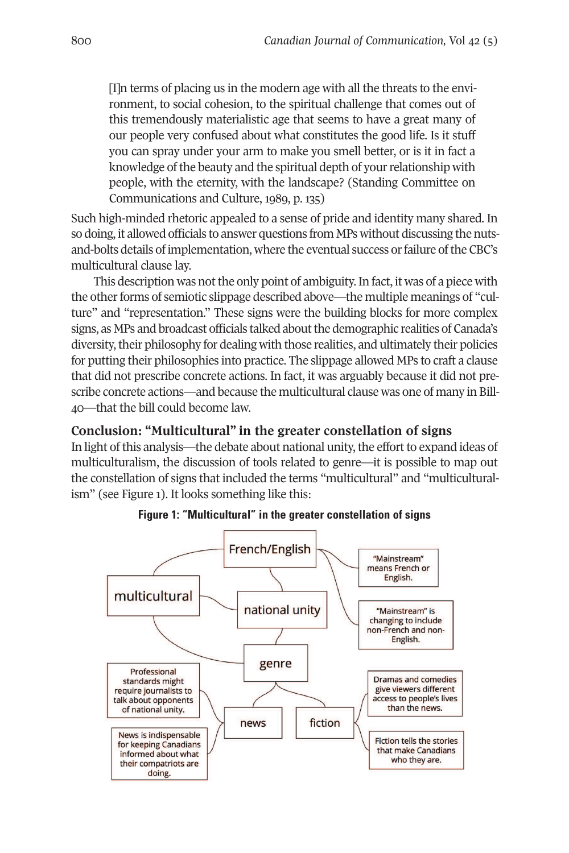[I]n terms of placing us in the modern age with all the threats to the environment, to social cohesion, to the spiritual challenge that comes out of this tremendously materialistic age that seems to have a great many of our people very confused about what constitutes the good life. Is it stuff you can spray under your arm to make you smell better, or is it in fact a knowledge of the beauty and the spiritual depth of your relationship with people, with the eternity, with the landscape? (Standing Committee on Communications and Culture, 1989, p. 135)

Such high-minded rhetoric appealed to a sense of pride and identity many shared. In so doing, it allowed officials to answer questions from MPs without discussing the nutsand-bolts details of implementation, where the eventual success orfailure ofthe CBC's multicultural clause lay.

This description was not the only point of ambiguity. In fact, it was of a piece with the other forms of semiotic slippage described above—the multiple meanings of "culture" and "representation." These signs were the building blocks for more complex signs, as MPs and broadcast officials talked about the demographic realities of Canada's diversity, their philosophy for dealing with those realities, and ultimately their policies for putting their philosophies into practice. The slippage allowed MPs to craft a clause that did not prescribe concrete actions. In fact, it was arguably because it did not prescribe concrete actions—and because the multicultural clause was one of many in Bill-40—that the bill could become law.

## **Conclusion: "Multicultural" in the greater constellation of signs**

In light of this analysis—the debate about national unity, the effort to expand ideas of multiculturalism, the discussion of tools related to genre—it is possible to map out the constellation of signs that included the terms "multicultural" and "multiculturalism" (see Figure 1). It looks something like this:



**Figure 1: "Multicultural" in the greater constellation of signs**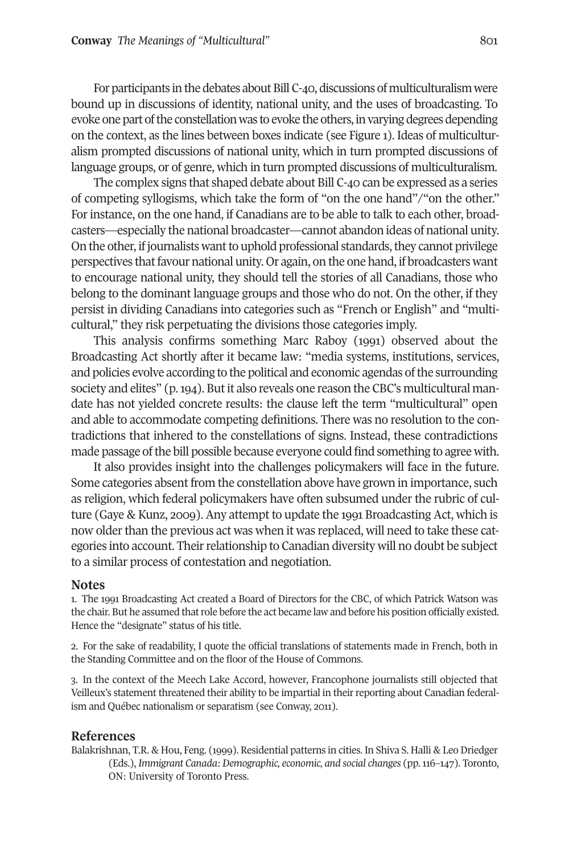For participants in the debates about Bill C-40, discussions of multiculturalism were bound up in discussions of identity, national unity, and the uses of broadcasting. To evoke one part of the constellation was to evoke the others, in varying degrees depending on the context, as the lines between boxes indicate (see Figure 1). Ideas of multiculturalism prompted discussions of national unity, which in turn prompted discussions of language groups, or of genre, which in turn prompted discussions of multiculturalism.

The complex signs that shaped debate about Bill C-40 can be expressed as a series of competing syllogisms, which take the form of "on the one hand"/"on the other." For instance, on the one hand, if Canadians are to be able to talk to each other, broadcasters—especially the national broadcaster—cannot abandon ideas of national unity. On the other, if journalists want to uphold professional standards, they cannot privilege perspectives thatfavour national unity. Or again, on the one hand, if broadcasters want to encourage national unity, they should tell the stories of all Canadians, those who belong to the dominant language groups and those who do not. On the other, if they persist in dividing Canadians into categories such as "French or English" and "multicultural," they risk perpetuating the divisions those categories imply.

This analysis confirms something Marc Raboy (1991) observed about the Broadcasting Act shortly after it became law: "media systems, institutions, services, and policies evolve according to the political and economic agendas ofthe surrounding society and elites" (p. 194). But it also reveals one reason the CBC's multicultural mandate has not yielded concrete results: the clause left the term "multicultural" open and able to accommodate competing definitions. There was no resolution to the contradictions that inhered to the constellations of signs. Instead, these contradictions made passage of the bill possible because everyone could find something to agree with.

It also provides insight into the challenges policymakers will face in the future. Some categories absent from the constellation above have grown in importance, such as religion, which federal policymakers have often subsumed under the rubric of culture (Gaye & Kunz, 2009). Any attempt to update the 1991 Broadcasting Act, which is now older than the previous act was when it was replaced, will need to take these categories into account. Theirrelationship to Canadian diversity will no doubt be subject to a similar process of contestation and negotiation.

#### <span id="page-16-0"></span>**Notes**

1. The 1991 Broadcasting Act created a Board of Directors for the CBC, of which Patrick Watson was the chair. But he assumed that role before the act became law and before his position officially existed. Hence the "designate" status of his title.

<span id="page-16-1"></span>2. For the sake of readability, I quote the official translations of statements made in French, both in the Standing Committee and on the floor of the House of Commons.

<span id="page-16-2"></span>3. In the context of the Meech Lake Accord, however, Francophone journalists still objected that Veilleux's statement threatened their ability to be impartial in their reporting about Canadian federalism and Québec nationalism or separatism (see Conway, 2011).

#### **References**

Balakrishnan, T.R. & Hou, Feng. (1999). Residential patterns in cities. In Shiva S. Halli & Leo Driedger (Eds.), *Immigrant Canada: Demographic, economic, and social changes* (pp.116–147). Toronto, ON: University of Toronto Press.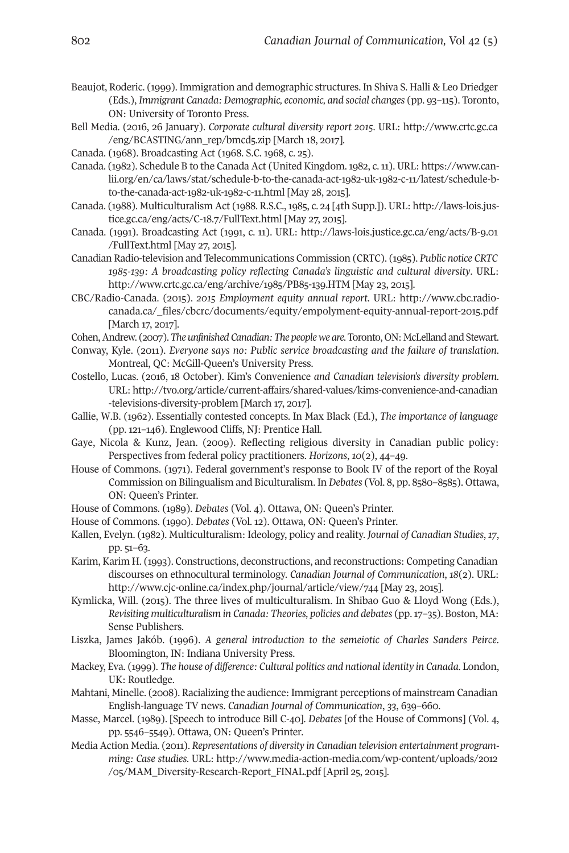- Beaujot, Roderic. (1999). Immigration and demographic structures. In Shiva S. Halli & Leo Driedger (Eds.), *Immigrant Canada: Demographic, economic, and social changes* (pp. 93–115). Toronto, ON: University of Toronto Press.
- Bell Media. (2016, 26 January). *Corporate cultural diversity report 2015*. URL: [http://www.crtc.gc.ca](http://www.crtc.gc.ca/eng/BCASTING/ann_rep/bmcd5.zip) [/eng/BCASTING/ann\\_rep/bmcd5.zip](http://www.crtc.gc.ca/eng/BCASTING/ann_rep/bmcd5.zip) [March 18, 2017].
- Canada. (1968). Broadcasting Act (1968. S.C. 1968, c. 25).
- Canada. (1982). Schedule B to the Canada Act (United Kingdom.1982, c.11). URL: [https://www.can](https://www.canlii.org/en/ca/laws/stat/schedule-b-to-the-canada-act-1982-uk-1982-c-11/latest/schedule-b-to-the-canada-act-1982-uk-1982-c-11.html)[lii.org/en/ca/laws/stat/schedule-b-to-the-canada-act-1982-uk-1982-c-11/latest/schedule-b](https://www.canlii.org/en/ca/laws/stat/schedule-b-to-the-canada-act-1982-uk-1982-c-11/latest/schedule-b-to-the-canada-act-1982-uk-1982-c-11.html)[to-the-canada-act-1982-uk-1982-c-11.html](https://www.canlii.org/en/ca/laws/stat/schedule-b-to-the-canada-act-1982-uk-1982-c-11/latest/schedule-b-to-the-canada-act-1982-uk-1982-c-11.html) [May 28, 2015].
- Canada. (1988). Multiculturalism Act (1988. R.S.C., 1985, c. 24 [4th Supp.]). URL: [http://laws-lois.jus](http://laws-lois.justice.gc.ca/eng/acts/C-18.7/FullText.html)[tice.gc.ca/eng/acts/C-18.7/FullText.html](http://laws-lois.justice.gc.ca/eng/acts/C-18.7/FullText.html) [May 27, 2015].
- Canada. (1991). Broadcasting Act (1991, c. 11). URL: [http://laws-lois.justice.gc.ca/eng/acts/B-9.01](http://laws-lois.justice.gc.ca/eng/acts/B-9.01/FullText.html) [/FullText.html](http://laws-lois.justice.gc.ca/eng/acts/B-9.01/FullText.html) [May 27, 2015].
- Canadian Radio-television and Telecommunications Commission (CRTC). (1985). *Public notice CRTC 1985-139: A broadcasting policy reflecting Canada's linguistic and cultural diversity*. URL: <http://www.crtc.gc.ca/eng/archive/1985/PB85-139.HTM> [May 23, 2015].
- CBC/Radio-Canada. (2015). *2015 Employment equity annual report*. URL: [http://www.cbc.radio](http://www.cbc.radio-canada.ca/_files/cbcrc/documents/equity/empolyment-equity-annual-report-2015.pdf)[canada.ca/\\_files/cbcrc/documents/equity/empolyment-equity-annual-report-2015.pdf](http://www.cbc.radio-canada.ca/_files/cbcrc/documents/equity/empolyment-equity-annual-report-2015.pdf) [March 17, 2017].
- Cohen, Andrew. (2007). The *unfinished Canadian: The people we are*. Toronto, ON: McLelland and Stewart.
- Conway, Kyle. (2011). *Everyone says no: Public service broadcasting and the failure of translation*. Montreal, QC: McGill-Queen's University Press.
- Costello, Lucas. (2016, 18 October). Kim's Convenience *and Canadian television's diversity problem*. URL: [http://tvo.org/article/current-affairs/shared-values/kims-convenience-and-canadian](http://tvo.org/article/current-affairs/shared-values/kims-convenience-and-canadian-televisions-diversity-problem) [-televisions-diversity-problem](http://tvo.org/article/current-affairs/shared-values/kims-convenience-and-canadian-televisions-diversity-problem) [March 17, 2017].
- Gallie, W.B. (1962). Essentially contested concepts. In Max Black (Ed.), *The importance of language* (pp. 121–146). Englewood Cliffs, NJ: Prentice Hall.
- Gaye, Nicola & Kunz, Jean. (2009). Reflecting religious diversity in Canadian public policy: Perspectives from federal policy practitioners. *Horizons*, *10*(2), 44–49.
- House of Commons. (1971). Federal government's response to Book IV of the report of the Royal Commission on Bilingualism and Biculturalism. In *Debates* (Vol. 8, pp. 8580–8585). Ottawa, ON: Queen's Printer.
- House of Commons. (1989). *Debates* (Vol. 4). Ottawa, ON: Queen's Printer.
- House of Commons. (1990). *Debates* (Vol. 12). Ottawa, ON: Queen's Printer.
- Kallen, Evelyn. (1982). Multiculturalism: Ideology, policy and reality. *Journal of Canadian Studies*, *17*, pp. 51–63.
- Karim, Karim H. (1993). Constructions, deconstructions, and reconstructions: Competing Canadian discourses on ethnocultural terminology. *Canadian Journal of Communication*, *18*(2). URL: <http://www.cjc-online.ca/index.php/journal/article/view/744> [May 23, 2015].
- Kymlicka, Will. (2015). The three lives of multiculturalism. In Shibao Guo & Lloyd Wong (Eds.), *Revisiting multiculturalism in Canada: Theories, policies and debates* (pp.17–35). Boston, MA: Sense Publishers.
- Liszka, James Jakób. (1996). *A general introduction to the semeiotic of Charles Sanders Peirce*. Bloomington, IN: Indiana University Press.
- Mackey, Eva. (1999). *The house of difference: Cultural politics and national identity in Canada*. London, UK: Routledge.
- Mahtani, Minelle. (2008). Racializing the audience: Immigrant perceptions of mainstream Canadian English-language TV news. *Canadian Journal of Communication*, *33*, 639–660.
- Masse, Marcel. (1989). [Speech to introduce Bill C-40]. *Debates* [of the House of Commons] (Vol. 4, pp. 5546–5549). Ottawa, ON: Queen's Printer.
- Media Action Media. (2011). *Representations of diversity in Canadian television entertainment programming: Case studies*. URL: [http://www.media-action-media.com/wp-content/uploads/2012](http://www.media-action-media.com/wp-content/uploads/2012/05/MAM_Diversity-Research-Report_FINAL.pdf) [/05/MAM\\_Diversity-Research-Report\\_FINAL.pdf](http://www.media-action-media.com/wp-content/uploads/2012/05/MAM_Diversity-Research-Report_FINAL.pdf) [April 25, 2015].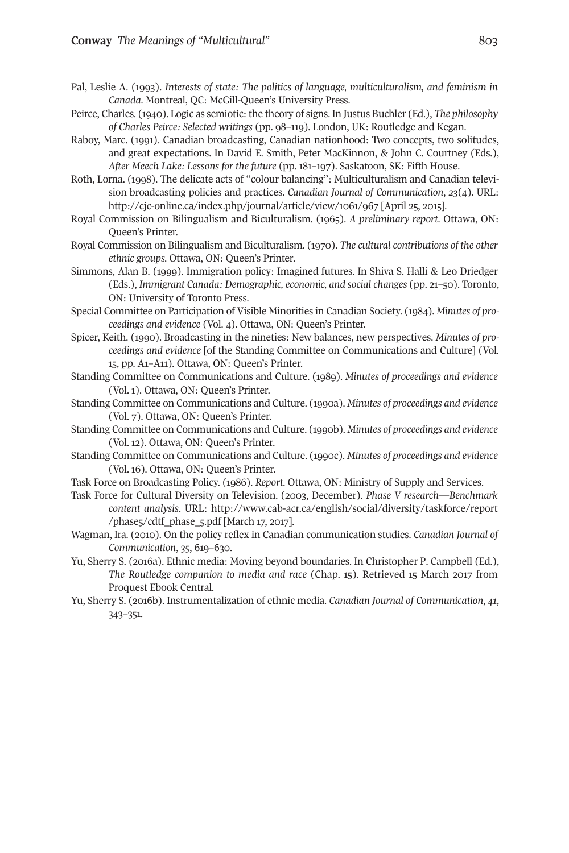- Pal, Leslie A. (1993). *Interests of state: The politics of language, multiculturalism, and feminism in Canada*. Montreal, QC: McGill-Queen's University Press.
- Peirce, Charles. (1940). Logic as semiotic: the theory of signs. In Justus Buchler (Ed.), *The philosophy of Charles Peirce: Selected writings* (pp. 98–119). London, UK: Routledge and Kegan.
- Raboy, Marc. (1991). Canadian broadcasting, Canadian nationhood: Two concepts, two solitudes, and great expectations. In David E. Smith, Peter MacKinnon, & John C. Courtney (Eds.), *After Meech Lake: Lessons for the future* (pp. 181–197). Saskatoon, SK: Fifth House.
- Roth, Lorna. (1998). The delicate acts of "colour balancing": Multiculturalism and Canadian television broadcasting policies and practices. *Canadian Journal of Communication*, *23*(4). URL: <http://cjc-online.ca/index.php/journal/article/view/1061/967> [April 25, 2015].
- Royal Commission on Bilingualism and Biculturalism. (1965). *A preliminary report*. Ottawa, ON: Queen's Printer.
- Royal Commission on Bilingualism and Biculturalism. (1970). *The cultural contributions of the other ethnic groups.* Ottawa, ON: Queen's Printer.
- Simmons, Alan B. (1999). Immigration policy: Imagined futures. In Shiva S. Halli & Leo Driedger (Eds.), *Immigrant Canada: Demographic, economic, and social changes* (pp. 21–50). Toronto, ON: University of Toronto Press.
- Special Committee on Participation of Visible Minorities in Canadian Society. (1984). *Minutes of proceedings and evidence* (Vol. 4). Ottawa, ON: Queen's Printer.
- Spicer, Keith. (1990). Broadcasting in the nineties: New balances, new perspectives. *Minutes of proceedings and evidence* [of the Standing Committee on Communications and Culture] (Vol. 15, pp. A1–A11). Ottawa, ON: Queen's Printer.
- Standing Committee on Communications and Culture. (1989). *Minutes of proceedings and evidence* (Vol. 1). Ottawa, ON: Queen's Printer.
- Standing Committee on Communications and Culture. (1990a). *Minutes of proceedings and evidence* (Vol. 7). Ottawa, ON: Queen's Printer.
- Standing Committee on Communications and Culture. (1990b). *Minutes of proceedings and evidence* (Vol. 12). Ottawa, ON: Queen's Printer.
- Standing Committee on Communications and Culture. (1990c). *Minutes of proceedings and evidence* (Vol. 16). Ottawa, ON: Queen's Printer.
- Task Force on Broadcasting Policy. (1986). *Report*. Ottawa, ON: Ministry of Supply and Services.
- Task Force for Cultural Diversity on Television. (2003, December). *Phase V research—Benchmark content analysis*. URL: [http://www.cab-acr.ca/english/social/diversity/taskforce/report](http://www.cab-acr.ca/english/social/diversity/taskforce/report/phase5/cdtf_phase_5.pdf) [/phase5/cdtf\\_phase\\_5.pdf](http://www.cab-acr.ca/english/social/diversity/taskforce/report/phase5/cdtf_phase_5.pdf) [March 17, 2017].
- Wagman, Ira. (2010). On the policy reflex in Canadian communication studies. *Canadian Journal of Communication*, *35*, 619–630.
- Yu, Sherry S. (2016a). Ethnic media: Moving beyond boundaries. In Christopher P. Campbell (Ed.), *The Routledge companion to media and race* (Chap. 15). Retrieved 15 March 2017 from Proquest Ebook Central.
- Yu, Sherry S. (2016b). Instrumentalization of ethnic media. *Canadian Journal of Communication*, *41*, 343–351.